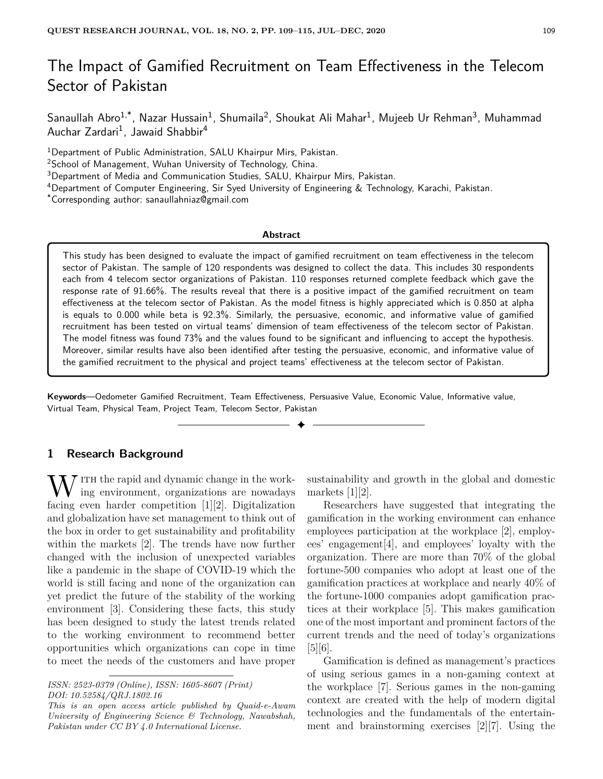# The Impact of Gamified Recruitment on Team Effectiveness in the Telecom Sector of Pakistan

Sanaullah Abro $^{1,*}$ , Nazar Hussain $^1$ , Shumaila $^2$ , Shoukat Ali Mahar $^1$ , Mujeeb Ur Rehman $^3$ , Muhammad Auchar Zardari<sup>1</sup>, Jawaid Shabbir<sup>4</sup>

<sup>1</sup>Department of Public Administration, SALU Khairpur Mirs, Pakistan.

<sup>2</sup>School of Management, Wuhan University of Technology, China.

<sup>3</sup>Department of Media and Communication Studies, SALU, Khairpur Mirs, Pakistan.

<sup>4</sup>Department of Computer Engineering, Sir Syed University of Engineering & Technology, Karachi, Pakistan.

\*Corresponding author: sanaullahniaz@gmail.com

#### **Abstract**

This study has been designed to evaluate the impact of gamified recruitment on team effectiveness in the telecom sector of Pakistan. The sample of 120 respondents was designed to collect the data. This includes 30 respondents each from 4 telecom sector organizations of Pakistan. 110 responses returned complete feedback which gave the response rate of 91.66%. The results reveal that there is a positive impact of the gamified recruitment on team effectiveness at the telecom sector of Pakistan. As the model fitness is highly appreciated which is 0.850 at alpha is equals to 0.000 while beta is 92.3%. Similarly, the persuasive, economic, and informative value of gamified recruitment has been tested on virtual teams' dimension of team effectiveness of the telecom sector of Pakistan. The model fitness was found 73% and the values found to be significant and influencing to accept the hypothesis. Moreover, similar results have also been identified after testing the persuasive, economic, and informative value of the gamified recruitment to the physical and project teams' effectiveness at the telecom sector of Pakistan.

**Keywords**—Oedometer Gamified Recruitment, Team Effectiveness, Persuasive Value, Economic Value, Informative value, Virtual Team, Physical Team, Project Team, Telecom Sector, Pakistan

✦

#### **1 Research Background**

 $\bar{y}$  ITH the rapid and dynamic change in the working environment, organizations are nowadays facing even harder competition [1][2]. Digitalization and globalization have set management to think out of the box in order to get sustainability and profitability within the markets [2]. The trends have now further changed with the inclusion of unexpected variables like a pandemic in the shape of COVID-19 which the world is still facing and none of the organization can yet predict the future of the stability of the working environment [3]. Considering these facts, this study has been designed to study the latest trends related to the working environment to recommend better opportunities which organizations can cope in time to meet the needs of the customers and have proper

*This is an open access article published by Quaid-e-Awam University of Engineering Science & Technology, Nawabshah, Pakistan under CC BY 4.0 International License.*

sustainability and growth in the global and domestic markets [1][2].

Researchers have suggested that integrating the gamification in the working environment can enhance employees participation at the workplace [2], employees' engagement[4], and employees' loyalty with the organization. There are more than 70% of the global fortune-500 companies who adopt at least one of the gamification practices at workplace and nearly 40% of the fortune-1000 companies adopt gamification practices at their workplace [5]. This makes gamification one of the most important and prominent factors of the current trends and the need of today's organizations [5][6].

Gamification is defined as management's practices of using serious games in a non-gaming context at the workplace [7]. Serious games in the non-gaming context are created with the help of modern digital technologies and the fundamentals of the entertainment and brainstorming exercises [2][7]. Using the

*ISSN: 2523-0379 (Online), ISSN: 1605-8607 (Print) DOI: 10.52584/QRJ.1802.16*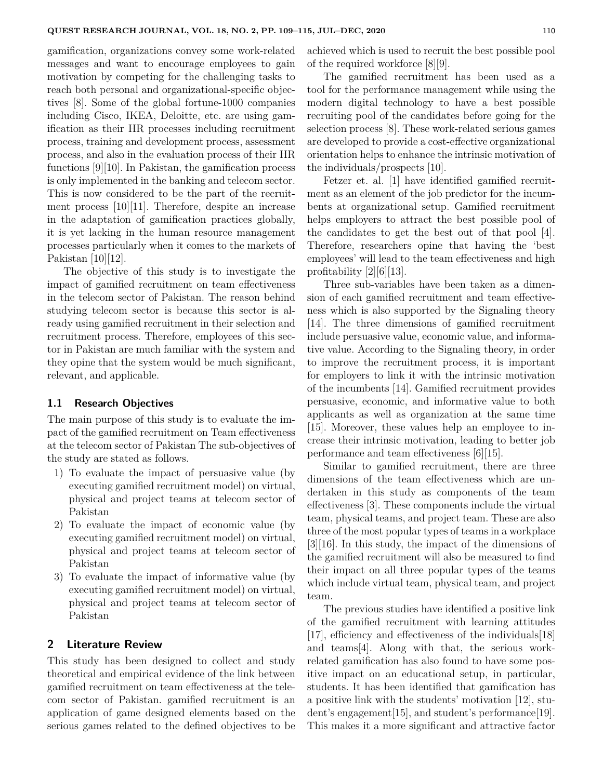gamification, organizations convey some work-related messages and want to encourage employees to gain motivation by competing for the challenging tasks to reach both personal and organizational-specific objectives [8]. Some of the global fortune-1000 companies including Cisco, IKEA, Deloitte, etc. are using gamification as their HR processes including recruitment process, training and development process, assessment process, and also in the evaluation process of their HR functions [9][10]. In Pakistan, the gamification process is only implemented in the banking and telecom sector. This is now considered to be the part of the recruitment process [10][11]. Therefore, despite an increase in the adaptation of gamification practices globally, it is yet lacking in the human resource management processes particularly when it comes to the markets of Pakistan [10][12].

The objective of this study is to investigate the impact of gamified recruitment on team effectiveness in the telecom sector of Pakistan. The reason behind studying telecom sector is because this sector is already using gamified recruitment in their selection and recruitment process. Therefore, employees of this sector in Pakistan are much familiar with the system and they opine that the system would be much significant, relevant, and applicable.

## **1.1 Research Objectives**

The main purpose of this study is to evaluate the impact of the gamified recruitment on Team effectiveness at the telecom sector of Pakistan The sub-objectives of the study are stated as follows.

- 1) To evaluate the impact of persuasive value (by executing gamified recruitment model) on virtual, physical and project teams at telecom sector of Pakistan
- 2) To evaluate the impact of economic value (by executing gamified recruitment model) on virtual, physical and project teams at telecom sector of Pakistan
- 3) To evaluate the impact of informative value (by executing gamified recruitment model) on virtual, physical and project teams at telecom sector of Pakistan

## **2 Literature Review**

This study has been designed to collect and study theoretical and empirical evidence of the link between gamified recruitment on team effectiveness at the telecom sector of Pakistan. gamified recruitment is an application of game designed elements based on the serious games related to the defined objectives to be achieved which is used to recruit the best possible pool of the required workforce [8][9].

The gamified recruitment has been used as a tool for the performance management while using the modern digital technology to have a best possible recruiting pool of the candidates before going for the selection process [8]. These work-related serious games are developed to provide a cost-effective organizational orientation helps to enhance the intrinsic motivation of the individuals/prospects [10].

Fetzer et. al. [1] have identified gamified recruitment as an element of the job predictor for the incumbents at organizational setup. Gamified recruitment helps employers to attract the best possible pool of the candidates to get the best out of that pool [4]. Therefore, researchers opine that having the 'best employees' will lead to the team effectiveness and high profitability  $[2][6][13]$ .

Three sub-variables have been taken as a dimension of each gamified recruitment and team effectiveness which is also supported by the Signaling theory [14]. The three dimensions of gamified recruitment include persuasive value, economic value, and informative value. According to the Signaling theory, in order to improve the recruitment process, it is important for employers to link it with the intrinsic motivation of the incumbents [14]. Gamified recruitment provides persuasive, economic, and informative value to both applicants as well as organization at the same time [15]. Moreover, these values help an employee to increase their intrinsic motivation, leading to better job performance and team effectiveness [6][15].

Similar to gamified recruitment, there are three dimensions of the team effectiveness which are undertaken in this study as components of the team effectiveness [3]. These components include the virtual team, physical teams, and project team. These are also three of the most popular types of teams in a workplace [3][16]. In this study, the impact of the dimensions of the gamified recruitment will also be measured to find their impact on all three popular types of the teams which include virtual team, physical team, and project team.

The previous studies have identified a positive link of the gamified recruitment with learning attitudes [17], efficiency and effectiveness of the individuals[18] and teams[4]. Along with that, the serious workrelated gamification has also found to have some positive impact on an educational setup, in particular, students. It has been identified that gamification has a positive link with the students' motivation [12], student's engagement[15], and student's performance[19]. This makes it a more significant and attractive factor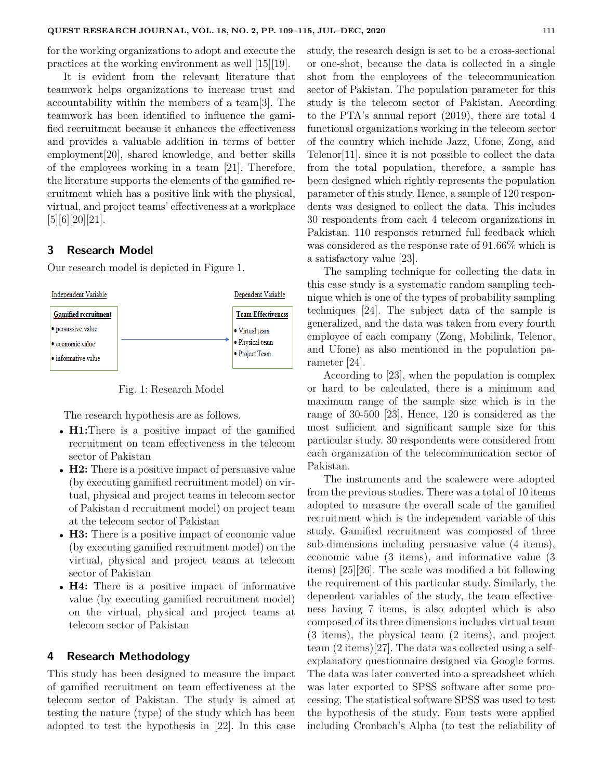for the working organizations to adopt and execute the practices at the working environment as well [15][19].

It is evident from the relevant literature that teamwork helps organizations to increase trust and accountability within the members of a team[3]. The teamwork has been identified to influence the gamified recruitment because it enhances the effectiveness and provides a valuable addition in terms of better employment[20], shared knowledge, and better skills of the employees working in a team [21]. Therefore, the literature supports the elements of the gamified recruitment which has a positive link with the physical, virtual, and project teams' effectiveness at a workplace [5][6][20][21].

## **3 Research Model**

Our research model is depicted in Figure 1.



Fig. 1: Research Model

The research hypothesis are as follows.

- **H1:**There is a positive impact of the gamified recruitment on team effectiveness in the telecom sector of Pakistan
- **H2:** There is a positive impact of persuasive value (by executing gamified recruitment model) on virtual, physical and project teams in telecom sector of Pakistan d recruitment model) on project team at the telecom sector of Pakistan
- **H3:** There is a positive impact of economic value (by executing gamified recruitment model) on the virtual, physical and project teams at telecom sector of Pakistan
- **H4:** There is a positive impact of informative value (by executing gamified recruitment model) on the virtual, physical and project teams at telecom sector of Pakistan

#### **4 Research Methodology**

This study has been designed to measure the impact of gamified recruitment on team effectiveness at the telecom sector of Pakistan. The study is aimed at testing the nature (type) of the study which has been adopted to test the hypothesis in [22]. In this case study, the research design is set to be a cross-sectional or one-shot, because the data is collected in a single shot from the employees of the telecommunication sector of Pakistan. The population parameter for this study is the telecom sector of Pakistan. According to the PTA's annual report (2019), there are total 4 functional organizations working in the telecom sector of the country which include Jazz, Ufone, Zong, and Telenor[11]. since it is not possible to collect the data from the total population, therefore, a sample has been designed which rightly represents the population parameter of this study. Hence, a sample of 120 respondents was designed to collect the data. This includes 30 respondents from each 4 telecom organizations in Pakistan. 110 responses returned full feedback which was considered as the response rate of 91.66% which is a satisfactory value [23].

The sampling technique for collecting the data in this case study is a systematic random sampling technique which is one of the types of probability sampling techniques [24]. The subject data of the sample is generalized, and the data was taken from every fourth employee of each company (Zong, Mobilink, Telenor, and Ufone) as also mentioned in the population parameter [24].

According to [23], when the population is complex or hard to be calculated, there is a minimum and maximum range of the sample size which is in the range of 30-500 [23]. Hence, 120 is considered as the most sufficient and significant sample size for this particular study. 30 respondents were considered from each organization of the telecommunication sector of Pakistan.

The instruments and the scalewere were adopted from the previous studies. There was a total of 10 items adopted to measure the overall scale of the gamified recruitment which is the independent variable of this study. Gamified recruitment was composed of three sub-dimensions including persuasive value (4 items), economic value (3 items), and informative value (3 items) [25][26]. The scale was modified a bit following the requirement of this particular study. Similarly, the dependent variables of the study, the team effectiveness having 7 items, is also adopted which is also composed of its three dimensions includes virtual team (3 items), the physical team (2 items), and project team (2 items)[27]. The data was collected using a selfexplanatory questionnaire designed via Google forms. The data was later converted into a spreadsheet which was later exported to SPSS software after some processing. The statistical software SPSS was used to test the hypothesis of the study. Four tests were applied including Cronbach's Alpha (to test the reliability of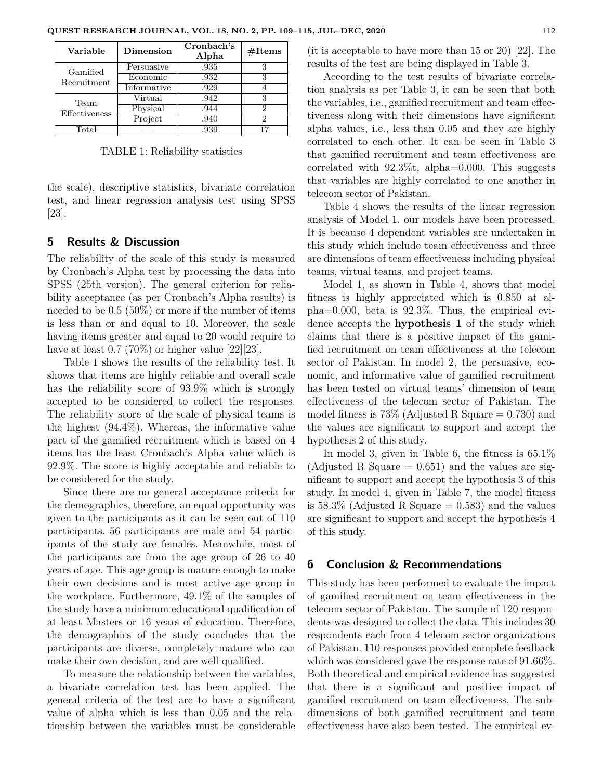| Variable      | Dimension   | Cronbach's<br>Alpha | $\#\text{Items}$ |
|---------------|-------------|---------------------|------------------|
| Gamified      | Persuasive  | .935                |                  |
| Recruitment   | Economic    | .932                | 3                |
|               | Informative | .929                |                  |
| Team          | Virtual     | .942                | 3                |
| Effectiveness | Physical    | .944                | 2                |
|               | Project     | .940                | 2                |
| Total         |             | .939                | 17               |

TABLE 1: Reliability statistics

the scale), descriptive statistics, bivariate correlation test, and linear regression analysis test using SPSS [23].

#### **5 Results & Discussion**

The reliability of the scale of this study is measured by Cronbach's Alpha test by processing the data into SPSS (25th version). The general criterion for reliability acceptance (as per Cronbach's Alpha results) is needed to be 0.5 (50%) or more if the number of items is less than or and equal to 10. Moreover, the scale having items greater and equal to 20 would require to have at least  $0.7$  (70%) or higher value [22][23].

Table 1 shows the results of the reliability test. It shows that items are highly reliable and overall scale has the reliability score of 93.9% which is strongly accepted to be considered to collect the responses. The reliability score of the scale of physical teams is the highest (94.4%). Whereas, the informative value part of the gamified recruitment which is based on 4 items has the least Cronbach's Alpha value which is 92.9%. The score is highly acceptable and reliable to be considered for the study.

Since there are no general acceptance criteria for the demographics, therefore, an equal opportunity was given to the participants as it can be seen out of 110 participants. 56 participants are male and 54 participants of the study are females. Meanwhile, most of the participants are from the age group of 26 to 40 years of age. This age group is mature enough to make their own decisions and is most active age group in the workplace. Furthermore, 49.1% of the samples of the study have a minimum educational qualification of at least Masters or 16 years of education. Therefore, the demographics of the study concludes that the participants are diverse, completely mature who can make their own decision, and are well qualified.

To measure the relationship between the variables, a bivariate correlation test has been applied. The general criteria of the test are to have a significant value of alpha which is less than 0.05 and the relationship between the variables must be considerable (it is acceptable to have more than 15 or 20) [22]. The results of the test are being displayed in Table 3.

According to the test results of bivariate correlation analysis as per Table 3, it can be seen that both the variables, i.e., gamified recruitment and team effectiveness along with their dimensions have significant alpha values, i.e., less than 0.05 and they are highly correlated to each other. It can be seen in Table 3 that gamified recruitment and team effectiveness are correlated with  $92.3\%$ t, alpha=0.000. This suggests that variables are highly correlated to one another in telecom sector of Pakistan.

Table 4 shows the results of the linear regression analysis of Model 1. our models have been processed. It is because 4 dependent variables are undertaken in this study which include team effectiveness and three are dimensions of team effectiveness including physical teams, virtual teams, and project teams.

Model 1, as shown in Table 4, shows that model fitness is highly appreciated which is 0.850 at alpha=0.000, beta is 92.3%. Thus, the empirical evidence accepts the **hypothesis 1** of the study which claims that there is a positive impact of the gamified recruitment on team effectiveness at the telecom sector of Pakistan. In model 2, the persuasive, economic, and informative value of gamified recruitment has been tested on virtual teams' dimension of team effectiveness of the telecom sector of Pakistan. The model fitness is  $73\%$  (Adjusted R Square  $= 0.730$ ) and the values are significant to support and accept the hypothesis 2 of this study.

In model 3, given in Table 6, the fitness is 65.1% (Adjusted R Square  $= 0.651$ ) and the values are significant to support and accept the hypothesis 3 of this study. In model 4, given in Table 7, the model fitness is 58.3% (Adjusted R Square  $= 0.583$ ) and the values are significant to support and accept the hypothesis 4 of this study.

#### **6 Conclusion & Recommendations**

This study has been performed to evaluate the impact of gamified recruitment on team effectiveness in the telecom sector of Pakistan. The sample of 120 respondents was designed to collect the data. This includes 30 respondents each from 4 telecom sector organizations of Pakistan. 110 responses provided complete feedback which was considered gave the response rate of 91.66%. Both theoretical and empirical evidence has suggested that there is a significant and positive impact of gamified recruitment on team effectiveness. The subdimensions of both gamified recruitment and team effectiveness have also been tested. The empirical ev-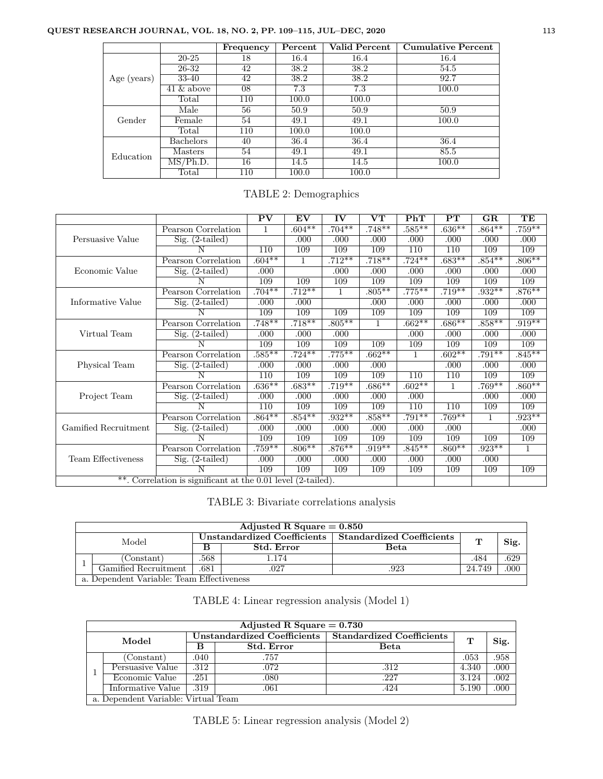# **QUEST RESEARCH JOURNAL, VOL. 18, NO. 2, PP. 109–115, JUL–DEC, 2020** 113

|             |               | Frequency | Percent | Valid Percent | <b>Cumulative Percent</b> |
|-------------|---------------|-----------|---------|---------------|---------------------------|
|             | $20 - 25$     | 18        | 16.4    | 16.4          | 16.4                      |
|             | 26-32         | 42        | 38.2    | 38.2          | 54.5                      |
| Age (years) | 33-40         | 42        | 38.2    | 38.2          | 92.7                      |
|             | $41 \&$ above | 08        | 7.3     | 7.3           | 100.0                     |
|             | Total         | 110       | 100.0   | 100.0         |                           |
|             | Male          | 56        | 50.9    | 50.9          | 50.9                      |
| Gender      | Female        | 54        | 49.1    | 49.1          | 100.0                     |
|             | Total         | 110       | 100.0   | 100.0         |                           |
|             | Bachelors     | 40        | 36.4    | 36.4          | 36.4                      |
| Education   | Masters       | 54        | 49.1    | 49.1          | 85.5                      |
|             | MS/Ph.D.      | 16        | 14.5    | 14.5          | 100.0                     |
|             | Total         | 110       | 100.0   | 100.0         |                           |

|                                                              |                                            | PV        | EV        | IV        | $\mathbf{V}\mathbf{T}$ | PhT          | $\mathbf{PT}$ | GR        | TE           |
|--------------------------------------------------------------|--------------------------------------------|-----------|-----------|-----------|------------------------|--------------|---------------|-----------|--------------|
|                                                              | Pearson Correlation                        | 1         | $.604**$  | $.704***$ | $.748***$              | $.585***$    | $.636***$     | $.864***$ | $.759***$    |
| Persuasive Value                                             | $Sig. (2-tailed)$                          |           | .000      | .000      | .000                   | .000         | .000          | .000      | .000         |
|                                                              |                                            | 110       | 109       | 109       | 109                    | 110          | 110           | 109       | 109          |
|                                                              | Pearson Correlation                        | $.604**$  | 1         | $.712**$  | $.718***$              | $.724***$    | $.683***$     | $.854***$ | $.806***$    |
| Economic Value                                               | $Sig. (2-tailed)$                          | .000      |           | .000      | .000                   | .000         | .000          | .000      | .000         |
|                                                              |                                            | 109       | 109       | 109       | 109                    | 109          | 109           | 109       | 109          |
|                                                              | Pearson Correlation                        | $.704***$ | $.712***$ | 1         | $.805***$              | $.775***$    | $.719***$     | $.932**$  | $.876***$    |
| Informative Value                                            | $Sig. (2-tailed)$                          | .000      | .000      |           | .000                   | .000         | .000          | .000      | .000         |
|                                                              |                                            | 109       | 109       | 109       | 109                    | 109          | 109           | 109       | 109          |
| Virtual Team                                                 | Pearson Correlation                        | $.748**$  | $.718***$ | $.805***$ | $\mathbf{1}$           | $.662**$     | $.686**$      | $.858***$ | $.919**$     |
|                                                              | $Sig. (2-tailed)$                          | .000      | .000      | .000      |                        | .000         | .000          | .000      | .000         |
|                                                              |                                            | 109       | 109       | 109       | 109                    | 109          | 109           | 109       | 109          |
|                                                              | Pearson Correlation                        | $.585***$ | $.724**$  | $.775***$ | $.662**$               | $\mathbf{1}$ | $.602**$      | $.791***$ | $.845***$    |
| Physical Team                                                | $Sig. (2-tailed)$                          | .000      | .000      | .000      | .000                   |              | .000          | .000      | .000         |
|                                                              | Ν                                          | 110       | 109       | 109       | 109                    | 110          | 110           | 109       | 109          |
|                                                              | Pearson Correlation                        | $.636**$  | $.683***$ | $.719**$  | $.686**$               | $.602**$     | 1             | $.769**$  | $.860**$     |
| Project Team                                                 | $Sig. (2-tailed)$                          | .000      | .000      | .000      | .000                   | .000         |               | .000      | .000         |
|                                                              | N                                          | 110       | 109       | 109       | 109                    | 110          | 110           | 109       | 109          |
|                                                              | Pearson Correlation                        | $.864***$ | $.854***$ | $.932**$  | $.858**$               | $.791***$    | $.769**$      | 1         | $.923**$     |
| Gamified Recruitment                                         | $\overline{\text{Sig.} (2\text{-tailed})}$ | .000      | .000      | .000      | .000                   | .000         | .000          |           | .000         |
|                                                              | N                                          | 109       | 109       | 109       | 109                    | 109          | 109           | 109       | 109          |
|                                                              | Pearson Correlation                        | $.759***$ | $.806**$  | $.876***$ | $.919**$               | $.845**$     | $.860**$      | $.923**$  | $\mathbf{1}$ |
| <b>Team Effectiveness</b>                                    | $Sig. (2-tailed)$                          | .000      | .000      | .000      | .000                   | .000         | .000          | .000      |              |
|                                                              | N                                          | 109       | 109       | 109       | 109                    | 109          | 109           | 109       | 109          |
| **. Correlation is significant at the 0.01 level (2-tailed). |                                            |           |           |           |                        |              |               |           |              |

# TABLE 2: Demographics

TABLE 3: Bivariate correlations analysis

|       | Adjusted R Square $= 0.850$               |                                                         |            |      |        |      |  |  |
|-------|-------------------------------------------|---------------------------------------------------------|------------|------|--------|------|--|--|
| Model |                                           | Unstandardized Coefficients   Standardized Coefficients |            |      | ጥ      | Sig. |  |  |
|       |                                           |                                                         | Std. Error | Beta |        |      |  |  |
|       | (Constant)                                | .568                                                    | 1.174      |      | .484   | .629 |  |  |
|       | Gamified Recruitment                      | .681                                                    | .027       | .923 | 24.749 | .000 |  |  |
|       | a. Dependent Variable: Team Effectiveness |                                                         |            |      |        |      |  |  |

TABLE 4: Linear regression analysis (Model 1)

|  | Adjusted R Square $= 0.730$         |                             |                   |                                  |       |      |  |  |  |
|--|-------------------------------------|-----------------------------|-------------------|----------------------------------|-------|------|--|--|--|
|  | Model                               | Unstandardized Coefficients |                   | <b>Standardized Coefficients</b> | т     | Sig. |  |  |  |
|  |                                     | в                           | <b>Std. Error</b> | Beta                             |       |      |  |  |  |
|  | Constant)                           | .040                        | .757              |                                  | .053  | .958 |  |  |  |
|  | Persuasive Value                    | .312                        | .072              | .312                             | 4.340 | .000 |  |  |  |
|  | Economic Value                      | .251                        | .080              | .227                             | 3.124 | .002 |  |  |  |
|  | Informative Value                   | .319                        | .061              | .424                             | 5.190 | .000 |  |  |  |
|  | a. Dependent Variable: Virtual Team |                             |                   |                                  |       |      |  |  |  |

| TABLE 5: Linear regression analysis (Model 2) |  |  |  |
|-----------------------------------------------|--|--|--|
|                                               |  |  |  |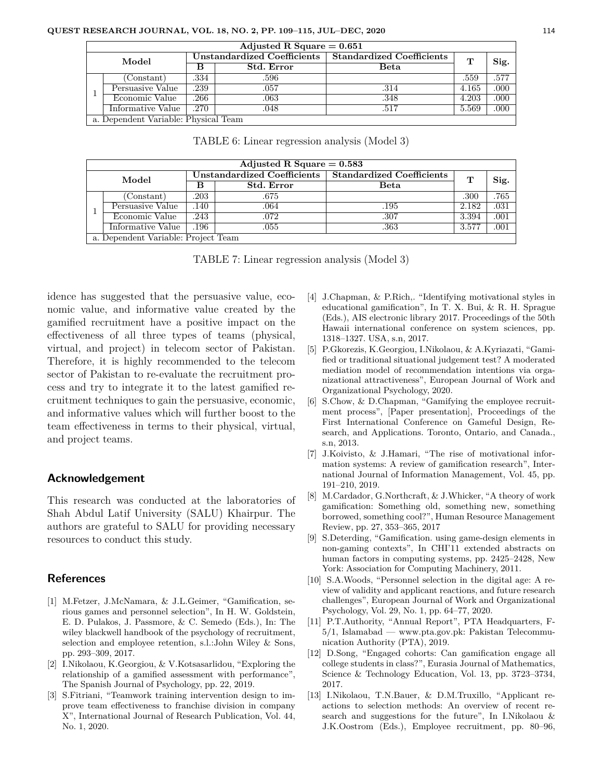|       | Adjusted R Square $= 0.651$          |                             |                   |                                  |       |      |  |  |  |
|-------|--------------------------------------|-----------------------------|-------------------|----------------------------------|-------|------|--|--|--|
| Model |                                      | Unstandardized Coefficients |                   | <b>Standardized Coefficients</b> | т     | Sig. |  |  |  |
|       |                                      |                             | <b>Std. Error</b> | Beta                             |       |      |  |  |  |
|       | Constant)                            | .334                        | .596              |                                  | .559  | .577 |  |  |  |
|       | Persuasive Value                     | .239                        | .057              | .314                             | 4.165 | .000 |  |  |  |
|       | Economic Value                       | .266                        | .063              | .348                             | 4.203 | .000 |  |  |  |
|       | Informative Value                    | .270                        | .048              | .517                             | 5.569 | .000 |  |  |  |
|       | a. Dependent Variable: Physical Team |                             |                   |                                  |       |      |  |  |  |

TABLE 6: Linear regression analysis (Model 3)

|       | Adjusted R Square $= 0.583$         |                             |                   |                                  |       |      |  |  |  |
|-------|-------------------------------------|-----------------------------|-------------------|----------------------------------|-------|------|--|--|--|
| Model |                                     | Unstandardized Coefficients |                   | <b>Standardized Coefficients</b> |       | Sig. |  |  |  |
|       |                                     | в                           | <b>Std. Error</b> | Beta                             | т     |      |  |  |  |
|       | (Constant)                          | .203                        | .675              |                                  | .300  | .765 |  |  |  |
|       | Persuasive Value                    | .140                        | .064              | .195                             | 2.182 | .031 |  |  |  |
|       | Economic Value                      | .243                        | .072              | .307                             | 3.394 | .001 |  |  |  |
|       | Informative Value                   | 196                         | .055              | .363                             | 3.577 | .001 |  |  |  |
|       | a. Dependent Variable: Project Team |                             |                   |                                  |       |      |  |  |  |

TABLE 7: Linear regression analysis (Model 3)

idence has suggested that the persuasive value, economic value, and informative value created by the gamified recruitment have a positive impact on the effectiveness of all three types of teams (physical, virtual, and project) in telecom sector of Pakistan. Therefore, it is highly recommended to the telecom sector of Pakistan to re-evaluate the recruitment process and try to integrate it to the latest gamified recruitment techniques to gain the persuasive, economic, and informative values which will further boost to the team effectiveness in terms to their physical, virtual, and project teams.

#### **Acknowledgement**

This research was conducted at the laboratories of Shah Abdul Latif University (SALU) Khairpur. The authors are grateful to SALU for providing necessary resources to conduct this study.

#### **References**

- [1] M.Fetzer, J.McNamara, & J.L.Geimer, "Gamification, serious games and personnel selection", In H. W. Goldstein, E. D. Pulakos, J. Passmore, & C. Semedo (Eds.), In: The wiley blackwell handbook of the psychology of recruitment, selection and employee retention, s.l.:John Wiley & Sons, pp. 293–309, 2017.
- [2] I.Nikolaou, K.Georgiou, & V.Kotsasarlidou, "Exploring the relationship of a gamified assessment with performance", The Spanish Journal of Psychology, pp. 22, 2019.
- [3] S.Fitriani, "Teamwork training intervention design to improve team effectiveness to franchise division in company X", International Journal of Research Publication, Vol. 44, No. 1, 2020.
- [4] J.Chapman, & P.Rich,. "Identifying motivational styles in educational gamification", In T. X. Bui, & R. H. Sprague (Eds.), AIS electronic library 2017. Proceedings of the 50th Hawaii international conference on system sciences, pp. 1318–1327. USA, s.n, 2017.
- [5] P.Gkorezis, K.Georgiou, I.Nikolaou, & A.Kyriazati, "Gamified or traditional situational judgement test? A moderated mediation model of recommendation intentions via organizational attractiveness", European Journal of Work and Organizational Psychology, 2020.
- [6] S.Chow, & D.Chapman, "Gamifying the employee recruitment process", [Paper presentation], Proceedings of the First International Conference on Gameful Design, Research, and Applications. Toronto, Ontario, and Canada., s.n, 2013.
- [7] J.Koivisto, & J.Hamari, "The rise of motivational information systems: A review of gamification research", International Journal of Information Management, Vol. 45, pp. 191–210, 2019.
- [8] M.Cardador, G.Northcraft, & J.Whicker, "A theory of work gamification: Something old, something new, something borrowed, something cool?", Human Resource Management Review, pp. 27, 353–365, 2017
- [9] S.Deterding, "Gamification. using game-design elements in non-gaming contexts", In CHI'11 extended abstracts on human factors in computing systems, pp. 2425–2428, New York: Association for Computing Machinery, 2011.
- [10] S.A.Woods, "Personnel selection in the digital age: A review of validity and applicant reactions, and future research challenges", European Journal of Work and Organizational Psychology, Vol. 29, No. 1, pp. 64–77, 2020.
- [11] P.T.Authority, "Annual Report", PTA Headquarters, F-5/1, Islamabad — www.pta.gov.pk: Pakistan Telecommunication Authority (PTA), 2019.
- [12] D.Song, "Engaged cohorts: Can gamification engage all college students in class?", Eurasia Journal of Mathematics, Science & Technology Education, Vol. 13, pp. 3723–3734, 2017.
- [13] I.Nikolaou, T.N.Bauer, & D.M.Truxillo, "Applicant reactions to selection methods: An overview of recent research and suggestions for the future", In I.Nikolaou & J.K.Oostrom (Eds.), Employee recruitment, pp. 80–96,